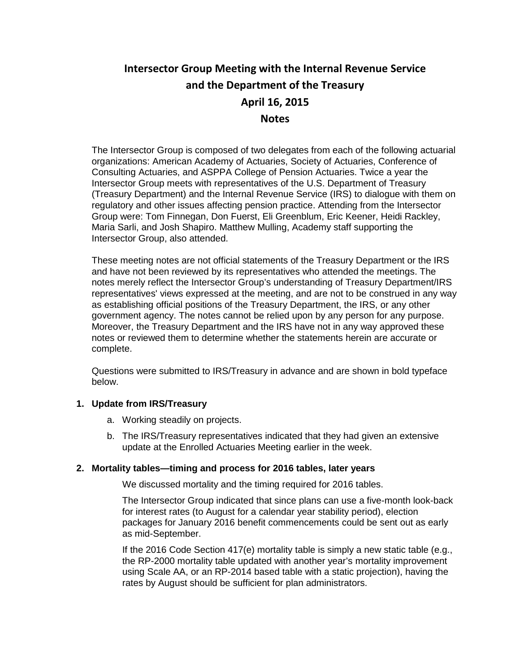# **Intersector Group Meeting with the Internal Revenue Service and the Department of the Treasury April 16, 2015 Notes**

The Intersector Group is composed of two delegates from each of the following actuarial organizations: American Academy of Actuaries, Society of Actuaries, Conference of Consulting Actuaries, and ASPPA College of Pension Actuaries. Twice a year the Intersector Group meets with representatives of the U.S. Department of Treasury (Treasury Department) and the Internal Revenue Service (IRS) to dialogue with them on regulatory and other issues affecting pension practice. Attending from the Intersector Group were: Tom Finnegan, Don Fuerst, Eli Greenblum, Eric Keener, Heidi Rackley, Maria Sarli, and Josh Shapiro. Matthew Mulling, Academy staff supporting the Intersector Group, also attended.

These meeting notes are not official statements of the Treasury Department or the IRS and have not been reviewed by its representatives who attended the meetings. The notes merely reflect the Intersector Group's understanding of Treasury Department/IRS representatives' views expressed at the meeting, and are not to be construed in any way as establishing official positions of the Treasury Department, the IRS, or any other government agency. The notes cannot be relied upon by any person for any purpose. Moreover, the Treasury Department and the IRS have not in any way approved these notes or reviewed them to determine whether the statements herein are accurate or complete.

Questions were submitted to IRS/Treasury in advance and are shown in bold typeface below.

# **1. Update from IRS/Treasury**

- a. Working steadily on projects.
- b. The IRS/Treasury representatives indicated that they had given an extensive update at the Enrolled Actuaries Meeting earlier in the week.

#### **2. Mortality tables—timing and process for 2016 tables, later years**

We discussed mortality and the timing required for 2016 tables.

The Intersector Group indicated that since plans can use a five-month look-back for interest rates (to August for a calendar year stability period), election packages for January 2016 benefit commencements could be sent out as early as mid-September.

If the 2016 Code Section 417(e) mortality table is simply a new static table (e.g., the RP-2000 mortality table updated with another year's mortality improvement using Scale AA, or an RP-2014 based table with a static projection), having the rates by August should be sufficient for plan administrators.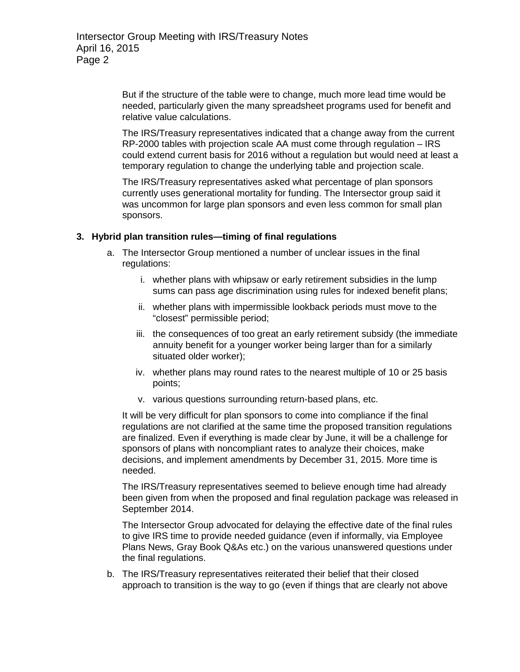But if the structure of the table were to change, much more lead time would be needed, particularly given the many spreadsheet programs used for benefit and relative value calculations.

The IRS/Treasury representatives indicated that a change away from the current RP-2000 tables with projection scale AA must come through regulation – IRS could extend current basis for 2016 without a regulation but would need at least a temporary regulation to change the underlying table and projection scale.

The IRS/Treasury representatives asked what percentage of plan sponsors currently uses generational mortality for funding. The Intersector group said it was uncommon for large plan sponsors and even less common for small plan sponsors.

#### **3. Hybrid plan transition rules—timing of final regulations**

- a. The Intersector Group mentioned a number of unclear issues in the final regulations:
	- i. whether plans with whipsaw or early retirement subsidies in the lump sums can pass age discrimination using rules for indexed benefit plans;
	- ii. whether plans with impermissible lookback periods must move to the "closest" permissible period;
	- iii. the consequences of too great an early retirement subsidy (the immediate annuity benefit for a younger worker being larger than for a similarly situated older worker);
	- iv. whether plans may round rates to the nearest multiple of 10 or 25 basis points;
	- v. various questions surrounding return-based plans, etc.

It will be very difficult for plan sponsors to come into compliance if the final regulations are not clarified at the same time the proposed transition regulations are finalized. Even if everything is made clear by June, it will be a challenge for sponsors of plans with noncompliant rates to analyze their choices, make decisions, and implement amendments by December 31, 2015. More time is needed.

The IRS/Treasury representatives seemed to believe enough time had already been given from when the proposed and final regulation package was released in September 2014.

The Intersector Group advocated for delaying the effective date of the final rules to give IRS time to provide needed guidance (even if informally, via Employee Plans News, Gray Book Q&As etc.) on the various unanswered questions under the final regulations.

b. The IRS/Treasury representatives reiterated their belief that their closed approach to transition is the way to go (even if things that are clearly not above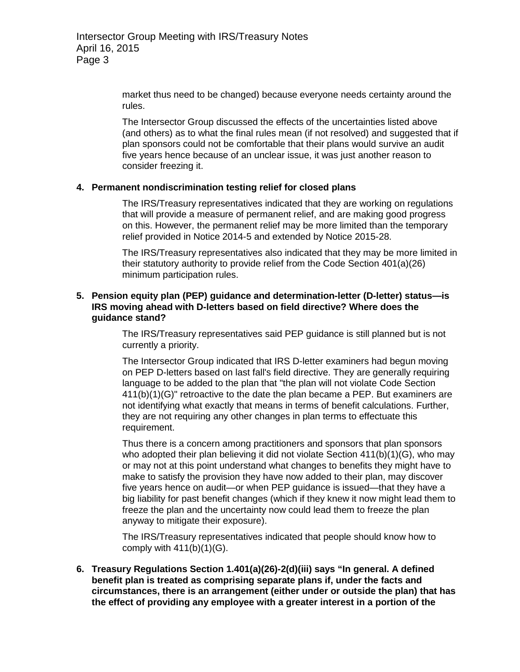Intersector Group Meeting with IRS/Treasury Notes April 16, 2015 Page 3

> market thus need to be changed) because everyone needs certainty around the rules.

The Intersector Group discussed the effects of the uncertainties listed above (and others) as to what the final rules mean (if not resolved) and suggested that if plan sponsors could not be comfortable that their plans would survive an audit five years hence because of an unclear issue, it was just another reason to consider freezing it.

# **4. Permanent nondiscrimination testing relief for closed plans**

The IRS/Treasury representatives indicated that they are working on regulations that will provide a measure of permanent relief, and are making good progress on this. However, the permanent relief may be more limited than the temporary relief provided in Notice 2014-5 and extended by Notice 2015-28.

The IRS/Treasury representatives also indicated that they may be more limited in their statutory authority to provide relief from the Code Section 401(a)(26) minimum participation rules.

#### **5. Pension equity plan (PEP) guidance and determination-letter (D-letter) status—is IRS moving ahead with D-letters based on field directive? Where does the guidance stand?**

The IRS/Treasury representatives said PEP guidance is still planned but is not currently a priority.

The Intersector Group indicated that IRS D-letter examiners had begun moving on PEP D-letters based on last fall's field directive. They are generally requiring language to be added to the plan that "the plan will not violate Code Section 411(b)(1)(G)" retroactive to the date the plan became a PEP. But examiners are not identifying what exactly that means in terms of benefit calculations. Further, they are not requiring any other changes in plan terms to effectuate this requirement.

Thus there is a concern among practitioners and sponsors that plan sponsors who adopted their plan believing it did not violate Section 411(b)(1)(G), who may or may not at this point understand what changes to benefits they might have to make to satisfy the provision they have now added to their plan, may discover five years hence on audit—or when PEP guidance is issued—that they have a big liability for past benefit changes (which if they knew it now might lead them to freeze the plan and the uncertainty now could lead them to freeze the plan anyway to mitigate their exposure).

The IRS/Treasury representatives indicated that people should know how to comply with  $411(b)(1)(G)$ .

**6. Treasury Regulations Section 1.401(a)(26)-2(d)(iii) says "In general. A defined benefit plan is treated as comprising separate plans if, under the facts and circumstances, there is an arrangement (either under or outside the plan) that has the effect of providing any employee with a greater interest in a portion of the**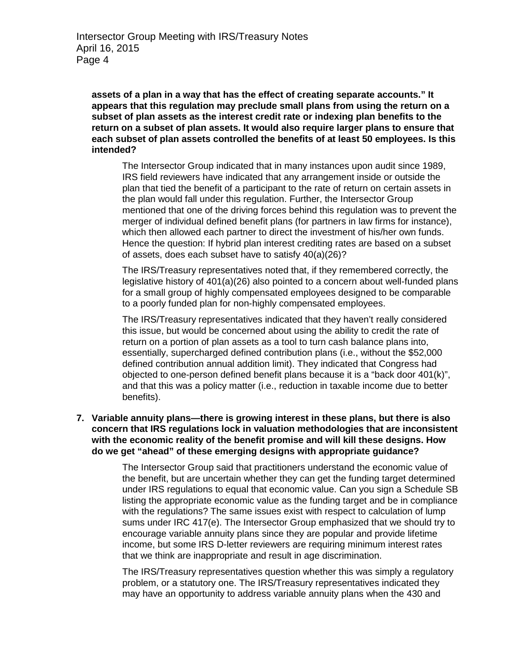**assets of a plan in a way that has the effect of creating separate accounts." It appears that this regulation may preclude small plans from using the return on a subset of plan assets as the interest credit rate or indexing plan benefits to the return on a subset of plan assets. It would also require larger plans to ensure that each subset of plan assets controlled the benefits of at least 50 employees. Is this intended?**

The Intersector Group indicated that in many instances upon audit since 1989, IRS field reviewers have indicated that any arrangement inside or outside the plan that tied the benefit of a participant to the rate of return on certain assets in the plan would fall under this regulation. Further, the Intersector Group mentioned that one of the driving forces behind this regulation was to prevent the merger of individual defined benefit plans (for partners in law firms for instance), which then allowed each partner to direct the investment of his/her own funds. Hence the question: If hybrid plan interest crediting rates are based on a subset of assets, does each subset have to satisfy 40(a)(26)?

The IRS/Treasury representatives noted that, if they remembered correctly, the legislative history of 401(a)(26) also pointed to a concern about well-funded plans for a small group of highly compensated employees designed to be comparable to a poorly funded plan for non-highly compensated employees.

The IRS/Treasury representatives indicated that they haven't really considered this issue, but would be concerned about using the ability to credit the rate of return on a portion of plan assets as a tool to turn cash balance plans into, essentially, supercharged defined contribution plans (i.e., without the \$52,000 defined contribution annual addition limit). They indicated that Congress had objected to one-person defined benefit plans because it is a "back door 401(k)", and that this was a policy matter (i.e., reduction in taxable income due to better benefits).

**7. Variable annuity plans—there is growing interest in these plans, but there is also concern that IRS regulations lock in valuation methodologies that are inconsistent with the economic reality of the benefit promise and will kill these designs. How do we get "ahead" of these emerging designs with appropriate guidance?**

> The Intersector Group said that practitioners understand the economic value of the benefit, but are uncertain whether they can get the funding target determined under IRS regulations to equal that economic value. Can you sign a Schedule SB listing the appropriate economic value as the funding target and be in compliance with the regulations? The same issues exist with respect to calculation of lump sums under IRC 417(e). The Intersector Group emphasized that we should try to encourage variable annuity plans since they are popular and provide lifetime income, but some IRS D-letter reviewers are requiring minimum interest rates that we think are inappropriate and result in age discrimination.

The IRS/Treasury representatives question whether this was simply a regulatory problem, or a statutory one. The IRS/Treasury representatives indicated they may have an opportunity to address variable annuity plans when the 430 and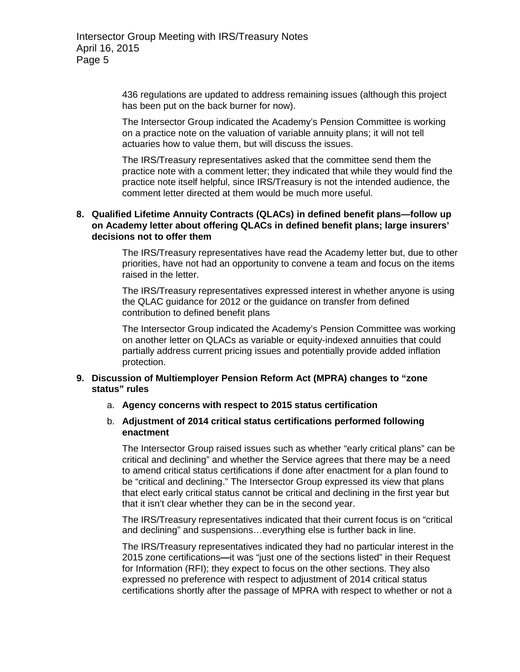436 regulations are updated to address remaining issues (although this project has been put on the back burner for now).

The Intersector Group indicated the Academy's Pension Committee is working on a practice note on the valuation of variable annuity plans; it will not tell actuaries how to value them, but will discuss the issues.

The IRS/Treasury representatives asked that the committee send them the practice note with a comment letter; they indicated that while they would find the practice note itself helpful, since IRS/Treasury is not the intended audience, the comment letter directed at them would be much more useful.

# **8. Qualified Lifetime Annuity Contracts (QLACs) in defined benefit plans—follow up on Academy letter about offering QLACs in defined benefit plans; large insurers' decisions not to offer them**

The IRS/Treasury representatives have read the Academy letter but, due to other priorities, have not had an opportunity to convene a team and focus on the items raised in the letter.

The IRS/Treasury representatives expressed interest in whether anyone is using the QLAC guidance for 2012 or the guidance on transfer from defined contribution to defined benefit plans

The Intersector Group indicated the Academy's Pension Committee was working on another letter on QLACs as variable or equity-indexed annuities that could partially address current pricing issues and potentially provide added inflation protection.

# **9. Discussion of Multiemployer Pension Reform Act (MPRA) changes to "zone status" rules**

- a. **Agency concerns with respect to 2015 status certification**
- b. **Adjustment of 2014 critical status certifications performed following enactment**

The Intersector Group raised issues such as whether "early critical plans" can be critical and declining" and whether the Service agrees that there may be a need to amend critical status certifications if done after enactment for a plan found to be "critical and declining." The Intersector Group expressed its view that plans that elect early critical status cannot be critical and declining in the first year but that it isn't clear whether they can be in the second year.

The IRS/Treasury representatives indicated that their current focus is on "critical and declining" and suspensions…everything else is further back in line.

The IRS/Treasury representatives indicated they had no particular interest in the 2015 zone certifications**—**it was "just one of the sections listed" in their Request for Information (RFI); they expect to focus on the other sections. They also expressed no preference with respect to adjustment of 2014 critical status certifications shortly after the passage of MPRA with respect to whether or not a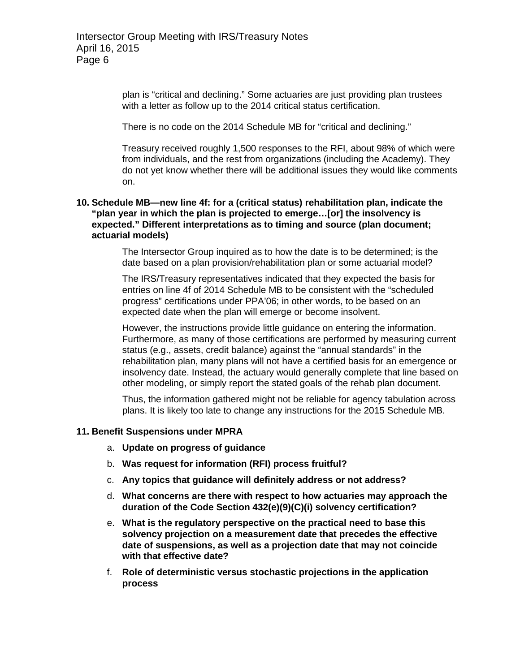plan is "critical and declining." Some actuaries are just providing plan trustees with a letter as follow up to the 2014 critical status certification.

There is no code on the 2014 Schedule MB for "critical and declining."

Treasury received roughly 1,500 responses to the RFI, about 98% of which were from individuals, and the rest from organizations (including the Academy). They do not yet know whether there will be additional issues they would like comments on.

## **10. Schedule MB—new line 4f: for a (critical status) rehabilitation plan, indicate the "plan year in which the plan is projected to emerge…[or] the insolvency is expected." Different interpretations as to timing and source (plan document; actuarial models)**

The Intersector Group inquired as to how the date is to be determined; is the date based on a plan provision/rehabilitation plan or some actuarial model?

The IRS/Treasury representatives indicated that they expected the basis for entries on line 4f of 2014 Schedule MB to be consistent with the "scheduled progress" certifications under PPA'06; in other words, to be based on an expected date when the plan will emerge or become insolvent.

However, the instructions provide little guidance on entering the information. Furthermore, as many of those certifications are performed by measuring current status (e.g., assets, credit balance) against the "annual standards" in the rehabilitation plan, many plans will not have a certified basis for an emergence or insolvency date. Instead, the actuary would generally complete that line based on other modeling, or simply report the stated goals of the rehab plan document.

Thus, the information gathered might not be reliable for agency tabulation across plans. It is likely too late to change any instructions for the 2015 Schedule MB.

#### **11. Benefit Suspensions under MPRA**

- a. **Update on progress of guidance**
- b. **Was request for information (RFI) process fruitful?**
- c. **Any topics that guidance will definitely address or not address?**
- d. **What concerns are there with respect to how actuaries may approach the duration of the Code Section 432(e)(9)(C)(i) solvency certification?**
- e. **What is the regulatory perspective on the practical need to base this solvency projection on a measurement date that precedes the effective date of suspensions, as well as a projection date that may not coincide with that effective date?**
- f. **Role of deterministic versus stochastic projections in the application process**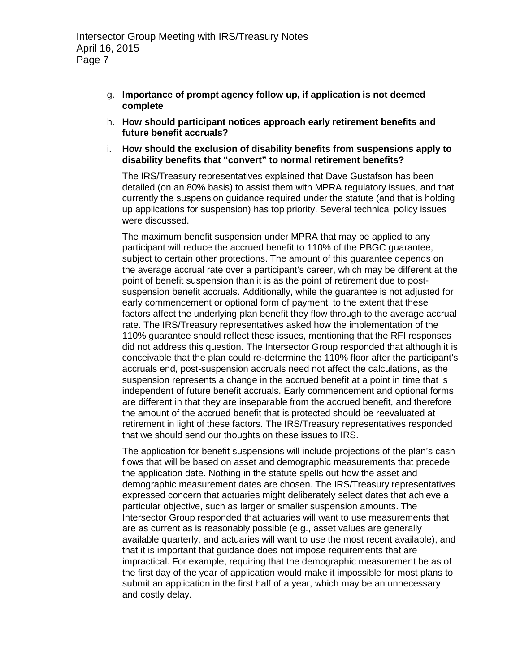- g. **Importance of prompt agency follow up, if application is not deemed complete**
- h. **How should participant notices approach early retirement benefits and future benefit accruals?**
- i. **How should the exclusion of disability benefits from suspensions apply to disability benefits that "convert" to normal retirement benefits?**

The IRS/Treasury representatives explained that Dave Gustafson has been detailed (on an 80% basis) to assist them with MPRA regulatory issues, and that currently the suspension guidance required under the statute (and that is holding up applications for suspension) has top priority. Several technical policy issues were discussed.

The maximum benefit suspension under MPRA that may be applied to any participant will reduce the accrued benefit to 110% of the PBGC guarantee, subject to certain other protections. The amount of this guarantee depends on the average accrual rate over a participant's career, which may be different at the point of benefit suspension than it is as the point of retirement due to postsuspension benefit accruals. Additionally, while the guarantee is not adjusted for early commencement or optional form of payment, to the extent that these factors affect the underlying plan benefit they flow through to the average accrual rate. The IRS/Treasury representatives asked how the implementation of the 110% guarantee should reflect these issues, mentioning that the RFI responses did not address this question. The Intersector Group responded that although it is conceivable that the plan could re-determine the 110% floor after the participant's accruals end, post-suspension accruals need not affect the calculations, as the suspension represents a change in the accrued benefit at a point in time that is independent of future benefit accruals. Early commencement and optional forms are different in that they are inseparable from the accrued benefit, and therefore the amount of the accrued benefit that is protected should be reevaluated at retirement in light of these factors. The IRS/Treasury representatives responded that we should send our thoughts on these issues to IRS.

The application for benefit suspensions will include projections of the plan's cash flows that will be based on asset and demographic measurements that precede the application date. Nothing in the statute spells out how the asset and demographic measurement dates are chosen. The IRS/Treasury representatives expressed concern that actuaries might deliberately select dates that achieve a particular objective, such as larger or smaller suspension amounts. The Intersector Group responded that actuaries will want to use measurements that are as current as is reasonably possible (e.g., asset values are generally available quarterly, and actuaries will want to use the most recent available), and that it is important that guidance does not impose requirements that are impractical. For example, requiring that the demographic measurement be as of the first day of the year of application would make it impossible for most plans to submit an application in the first half of a year, which may be an unnecessary and costly delay.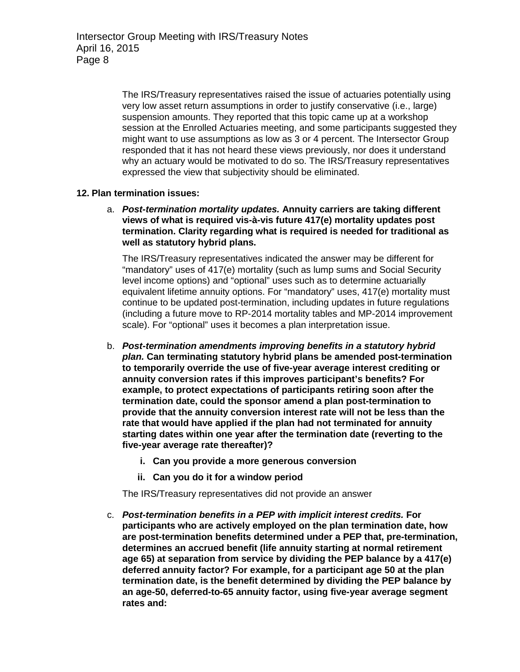The IRS/Treasury representatives raised the issue of actuaries potentially using very low asset return assumptions in order to justify conservative (i.e., large) suspension amounts. They reported that this topic came up at a workshop session at the Enrolled Actuaries meeting, and some participants suggested they might want to use assumptions as low as 3 or 4 percent. The Intersector Group responded that it has not heard these views previously, nor does it understand why an actuary would be motivated to do so. The IRS/Treasury representatives expressed the view that subjectivity should be eliminated.

#### **12. Plan termination issues:**

a. *Post-termination mortality updates.* **Annuity carriers are taking different views of what is required vis-à-vis future 417(e) mortality updates post termination. Clarity regarding what is required is needed for traditional as well as statutory hybrid plans.**

The IRS/Treasury representatives indicated the answer may be different for "mandatory" uses of 417(e) mortality (such as lump sums and Social Security level income options) and "optional" uses such as to determine actuarially equivalent lifetime annuity options. For "mandatory" uses, 417(e) mortality must continue to be updated post-termination, including updates in future regulations (including a future move to RP-2014 mortality tables and MP-2014 improvement scale). For "optional" uses it becomes a plan interpretation issue.

- b. *Post-termination amendments improving benefits in a statutory hybrid plan.* **Can terminating statutory hybrid plans be amended post-termination to temporarily override the use of five-year average interest crediting or annuity conversion rates if this improves participant's benefits? For example, to protect expectations of participants retiring soon after the termination date, could the sponsor amend a plan post-termination to provide that the annuity conversion interest rate will not be less than the rate that would have applied if the plan had not terminated for annuity starting dates within one year after the termination date (reverting to the five-year average rate thereafter)?**
	- **i. Can you provide a more generous conversion**
	- **ii. Can you do it for a window period**

The IRS/Treasury representatives did not provide an answer

c. *Post-termination benefits in a PEP with implicit interest credits.* **For participants who are actively employed on the plan termination date, how are post-termination benefits determined under a PEP that, pre-termination, determines an accrued benefit (life annuity starting at normal retirement age 65) at separation from service by dividing the PEP balance by a 417(e) deferred annuity factor? For example, for a participant age 50 at the plan termination date, is the benefit determined by dividing the PEP balance by an age-50, deferred-to-65 annuity factor, using five-year average segment rates and:**